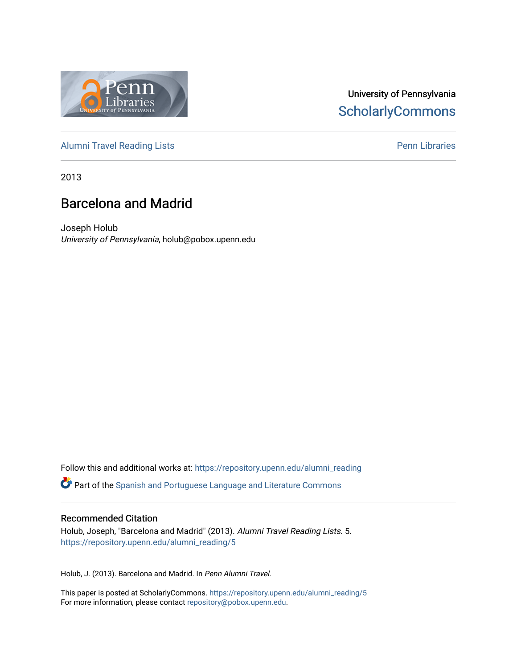

# University of Pennsylvania **ScholarlyCommons**

[Alumni Travel Reading Lists](https://repository.upenn.edu/alumni_reading) **Pennish Containers** [Penn Libraries](https://repository.upenn.edu/library) **Pennish Containers** 

2013

# Barcelona and Madrid

Joseph Holub University of Pennsylvania, holub@pobox.upenn.edu

Follow this and additional works at: [https://repository.upenn.edu/alumni\\_reading](https://repository.upenn.edu/alumni_reading?utm_source=repository.upenn.edu%2Falumni_reading%2F5&utm_medium=PDF&utm_campaign=PDFCoverPages)

Part of the [Spanish and Portuguese Language and Literature Commons](http://network.bepress.com/hgg/discipline/546?utm_source=repository.upenn.edu%2Falumni_reading%2F5&utm_medium=PDF&utm_campaign=PDFCoverPages)

#### Recommended Citation

Holub, Joseph, "Barcelona and Madrid" (2013). Alumni Travel Reading Lists. 5. [https://repository.upenn.edu/alumni\\_reading/5](https://repository.upenn.edu/alumni_reading/5?utm_source=repository.upenn.edu%2Falumni_reading%2F5&utm_medium=PDF&utm_campaign=PDFCoverPages)

Holub, J. (2013). Barcelona and Madrid. In Penn Alumni Travel.

This paper is posted at ScholarlyCommons. [https://repository.upenn.edu/alumni\\_reading/5](https://repository.upenn.edu/alumni_reading/5)  For more information, please contact [repository@pobox.upenn.edu.](mailto:repository@pobox.upenn.edu)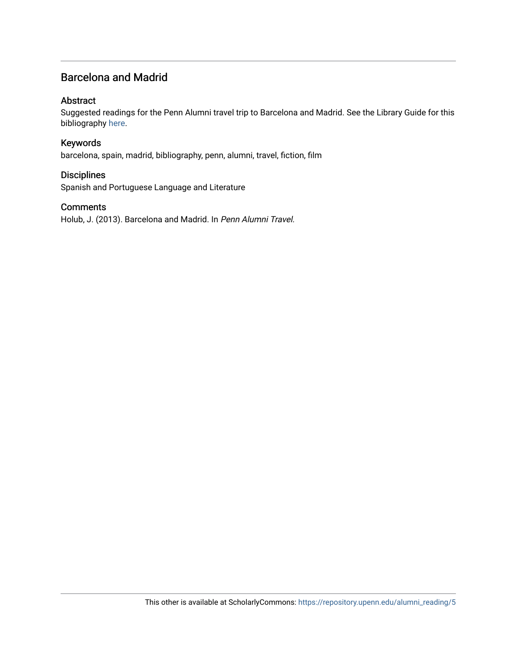### Barcelona and Madrid

#### Abstract

Suggested readings for the Penn Alumni travel trip to Barcelona and Madrid. See the Library Guide for this bibliography [here](http://guides.library.upenn.edu/aecontent.php?pid=507381&sid=4208250).

#### Keywords

barcelona, spain, madrid, bibliography, penn, alumni, travel, fiction, film

#### **Disciplines**

Spanish and Portuguese Language and Literature

#### **Comments**

Holub, J. (2013). Barcelona and Madrid. In Penn Alumni Travel.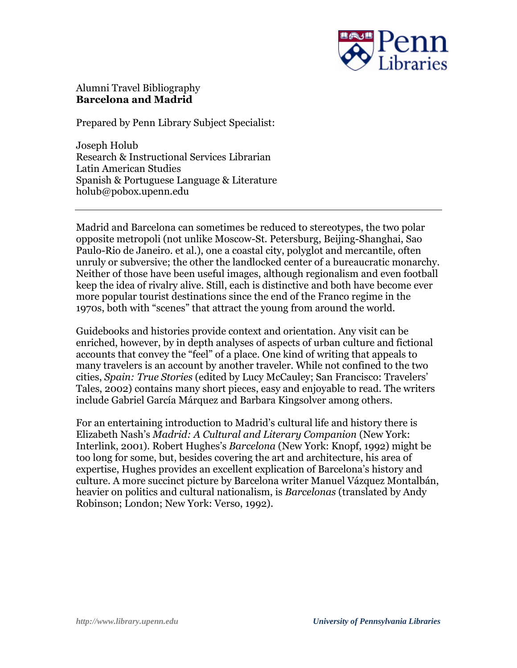

### Alumni Travel Bibliography **Barcelona and Madrid**

Prepared by Penn Library Subject Specialist:

Joseph Holub Research & Instructional Services Librarian Latin American Studies Spanish & Portuguese Language & Literature holub@pobox.upenn.edu

Madrid and Barcelona can sometimes be reduced to stereotypes, the two polar opposite metropoli (not unlike Moscow-St. Petersburg, Beijing-Shanghai, Sao Paulo-Rio de Janeiro. et al.), one a coastal city, polyglot and mercantile, often unruly or subversive; the other the landlocked center of a bureaucratic monarchy. Neither of those have been useful images, although regionalism and even football keep the idea of rivalry alive. Still, each is distinctive and both have become ever more popular tourist destinations since the end of the Franco regime in the 1970s, both with "scenes" that attract the young from around the world.

Guidebooks and histories provide context and orientation. Any visit can be enriched, however, by in depth analyses of aspects of urban culture and fictional accounts that convey the "feel" of a place. One kind of writing that appeals to many travelers is an account by another traveler. While not confined to the two cities, *Spain: True Stories* (edited by Lucy McCauley; San Francisco: Travelers' Tales, 2002) contains many short pieces, easy and enjoyable to read. The writers include Gabriel García Márquez and Barbara Kingsolver among others.

For an entertaining introduction to Madrid's cultural life and history there is Elizabeth Nash's *Madrid: A Cultural and Literary Companion* (New York: Interlink, 2001). Robert Hughes's *Barcelona* (New York: Knopf, 1992) might be too long for some, but, besides covering the art and architecture, his area of expertise, Hughes provides an excellent explication of Barcelona's history and culture. A more succinct picture by Barcelona writer Manuel Vázquez Montalbán, heavier on politics and cultural nationalism, is *Barcelonas* (translated by Andy Robinson; London; New York: Verso, 1992).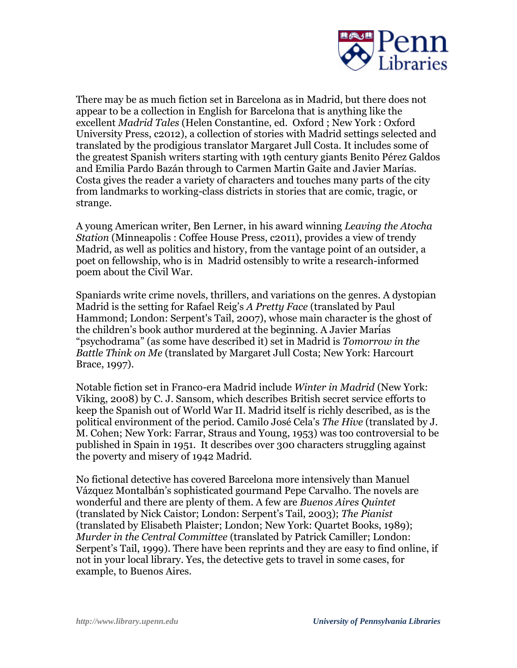

There may be as much fiction set in Barcelona as in Madrid, but there does not appear to be a collection in English for Barcelona that is anything like the excellent *Madrid Tales* (Helen Constantine, ed. Oxford ; New York : Oxford University Press, c2012), a collection of stories with Madrid settings selected and translated by the prodigious translator Margaret Jull Costa. It includes some of the greatest Spanish writers starting with 19th century giants Benito Pérez Galdos and Emilia Pardo Bazán through to Carmen Martin Gaite and Javier Marías. Costa gives the reader a variety of characters and touches many parts of the city from landmarks to working-class districts in stories that are comic, tragic, or strange.

A young American writer, Ben Lerner, in his award winning *Leaving the Atocha Station* (Minneapolis : Coffee House Press, c2011), provides a view of trendy Madrid, as well as politics and history, from the vantage point of an outsider, a poet on fellowship, who is in Madrid ostensibly to write a research-informed poem about the Civil War.

Spaniards write crime novels, thrillers, and variations on the genres. A dystopian Madrid is the setting for Rafael Reig's *A Pretty Face* (translated by Paul Hammond; London: Serpent's Tail, 2007), whose main character is the ghost of the children's book author murdered at the beginning. A Javier Marias "psychodrama" (as some have described it) set in Madrid is *Tomorrow in the Battle Think on Me* (translated by Margaret Jull Costa; New York: Harcourt Brace, 1997).

Notable fiction set in Franco-era Madrid include *Winter in Madrid* (New York: Viking, 2008) by C. J. Sansom, which describes British secret service efforts to keep the Spanish out of World War II. Madrid itself is richly described, as is the political environment of the period. Camilo José Cela's *The Hive* (translated by J. M. Cohen; New York: Farrar, Straus and Young, 1953) was too controversial to be published in Spain in 1951. It describes over 300 characters struggling against the poverty and misery of 1942 Madrid.

No fictional detective has covered Barcelona more intensively than Manuel Vázquez Montalbán's sophisticated gourmand Pepe Carvalho. The novels are wonderful and there are plenty of them. A few are *Buenos Aires Quintet* (translated by Nick Caistor; London: Serpent's Tail, 2003); *The Pianist* (translated by Elisabeth Plaister; London; New York: Quartet Books, 1989); *Murder in the Central Committee* (translated by Patrick Camiller; London: Serpent's Tail, 1999). There have been reprints and they are easy to find online, if not in your local library. Yes, the detective gets to travel in some cases, for example, to Buenos Aires.